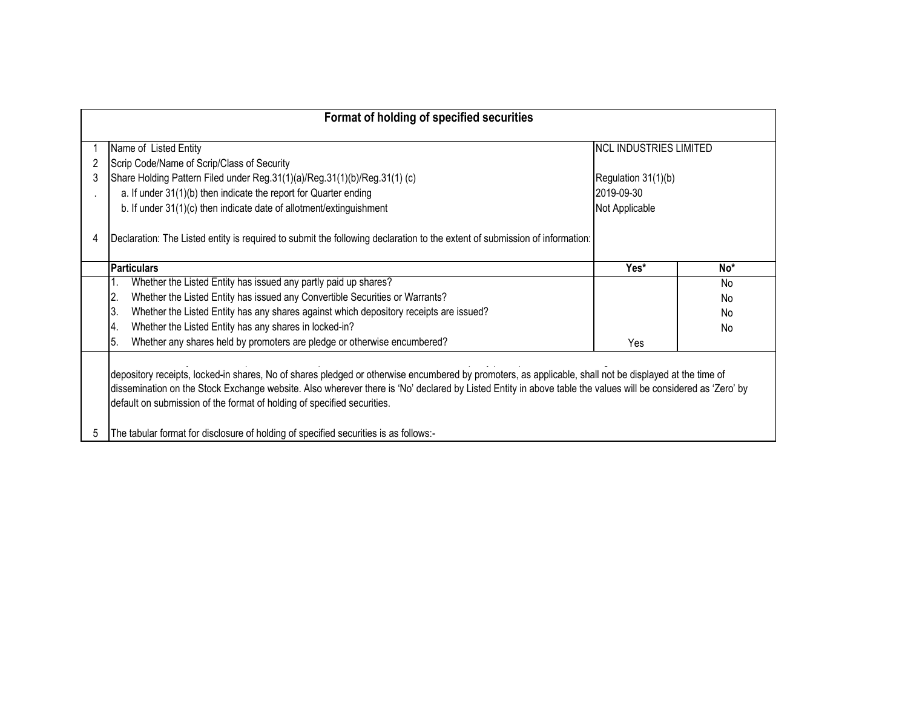|   | Format of holding of specified securities                                                                                                                    |                               |                 |
|---|--------------------------------------------------------------------------------------------------------------------------------------------------------------|-------------------------------|-----------------|
|   |                                                                                                                                                              |                               |                 |
|   | Name of Listed Entity                                                                                                                                        | <b>NCL INDUSTRIES LIMITED</b> |                 |
| 2 | Scrip Code/Name of Scrip/Class of Security                                                                                                                   |                               |                 |
|   | Share Holding Pattern Filed under Reg.31(1)(a)/Reg.31(1)(b)/Reg.31(1) (c)                                                                                    | Regulation 31(1)(b)           |                 |
|   | a. If under 31(1)(b) then indicate the report for Quarter ending                                                                                             | 2019-09-30                    |                 |
|   | b. If under 31(1)(c) then indicate date of allotment/extinguishment                                                                                          | Not Applicable                |                 |
|   |                                                                                                                                                              |                               |                 |
|   | Declaration: The Listed entity is required to submit the following declaration to the extent of submission of information:                                   |                               |                 |
|   |                                                                                                                                                              |                               |                 |
|   | <b>Particulars</b>                                                                                                                                           | Yes*                          | No <sup>*</sup> |
|   | Whether the Listed Entity has issued any partly paid up shares?                                                                                              |                               | No              |
|   | Whether the Listed Entity has issued any Convertible Securities or Warrants?<br>2.                                                                           |                               | <b>No</b>       |
|   | 3.<br>Whether the Listed Entity has any shares against which depository receipts are issued?                                                                 |                               | No.             |
|   | 4.<br>Whether the Listed Entity has any shares in locked-in?                                                                                                 |                               | No              |
|   | 15.<br>Whether any shares held by promoters are pledge or otherwise encumbered?                                                                              | Yes                           |                 |
|   |                                                                                                                                                              |                               |                 |
|   | depository receipts, locked-in shares, No of shares pledged or otherwise encumbered by promoters, as applicable, shall not be displayed at the time of       |                               |                 |
|   | dissemination on the Stock Exchange website. Also wherever there is 'No' declared by Listed Entity in above table the values will be considered as 'Zero' by |                               |                 |
|   | default on submission of the format of holding of specified securities.                                                                                      |                               |                 |
|   |                                                                                                                                                              |                               |                 |
|   | The tabular format for disclosure of holding of specified securities is as follows:-                                                                         |                               |                 |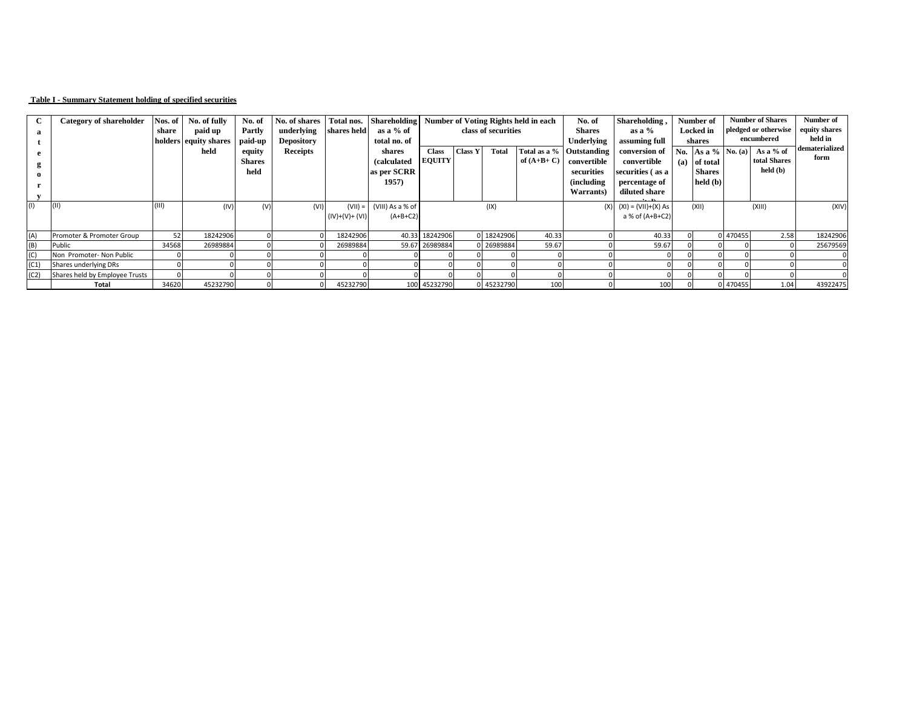## **Table I - Summary Statement holding of specified securities**

|      | <b>Category of shareholder</b> | Nos. of | No. of fully          | No. of        | No. of shares     | Total nos.      | <b>Shareholding</b> | Number of Voting Rights held in each |                |                     |              | No. of                   | Shareholding,               |     | Number of          |          | <b>Number of Shares</b> | Number of      |
|------|--------------------------------|---------|-----------------------|---------------|-------------------|-----------------|---------------------|--------------------------------------|----------------|---------------------|--------------|--------------------------|-----------------------------|-----|--------------------|----------|-------------------------|----------------|
| a    |                                | share   | paid up               | Partly        | underlying        | shares held     | as a % of           |                                      |                | class of securities |              | <b>Shares</b>            | as a $%$                    |     | <b>Locked</b> in   |          | pledged or otherwise    | equity shares  |
|      |                                |         | holders equity shares | paid-up       | <b>Depository</b> |                 | total no. of        |                                      |                |                     |              | Underlying               | assuming full               |     | shares             |          | encumbered              | held in        |
| e    |                                |         | held                  | equity        | <b>Receipts</b>   |                 | shares              | <b>Class</b>                         | <b>Class Y</b> | <b>Total</b>        |              | Total as a % Outstanding | conversion of               |     | No. As a % No. (a) |          | As a $%$ of             | dematerialized |
|      |                                |         |                       | <b>Shares</b> |                   |                 | <i>(calculated)</i> | <b>EQUITY</b>                        |                |                     | of $(A+B+C)$ | convertible              | convertible                 | (a) | of total           |          | total Shares            | form           |
|      |                                |         |                       | held          |                   |                 | as per SCRR         |                                      |                |                     |              | securities               | securities (as a            |     | <b>Shares</b>      |          | held (b)                |                |
|      |                                |         |                       |               |                   |                 | 1957)               |                                      |                |                     |              | <i>(including)</i>       | percentage of               |     | held (b)           |          |                         |                |
|      |                                |         |                       |               |                   |                 |                     |                                      |                |                     |              | Warrants)                | diluted share               |     |                    |          |                         |                |
| (1)  |                                | (III)   | (IV)                  | (V)           | (VI)              | $(VII) =$       | (VIII) As a % of    |                                      |                | (IX)                |              |                          | $(X)$ $(XI) = (VII)+(X) As$ |     | (XII)              |          | (XIII)                  | (XIV)          |
|      |                                |         |                       |               |                   | $(IV)+(V)+(VI)$ | $(A+B+C2)$          |                                      |                |                     |              |                          | a % of (A+B+C2)             |     |                    |          |                         |                |
|      |                                |         |                       |               |                   |                 |                     |                                      |                |                     |              |                          |                             |     |                    |          |                         |                |
| (A)  | Promoter & Promoter Group      | 52      | 18242906              |               |                   | 18242906        |                     | 40.33 18242906                       |                | 0 18242906          | 40.33        |                          | 40.33                       |     |                    | 0 470455 | 2.58                    | 18242906       |
| (B)  | Public                         | 34568   | 26989884              |               |                   | 26989884        |                     | 59.67 26989884                       |                | 0 26989884          | 59.67        |                          | 59.67                       |     |                    |          |                         | 25679569       |
| (C)  | Non Promoter- Non Public       |         |                       |               |                   |                 |                     |                                      |                |                     |              |                          |                             |     |                    |          |                         |                |
| (C1) | Shares underlying DRs          |         |                       |               |                   |                 |                     |                                      |                |                     |              |                          |                             |     |                    |          |                         |                |
| (C2) | Shares held by Employee Trusts |         |                       |               |                   |                 |                     |                                      |                |                     |              |                          |                             |     |                    |          |                         |                |
|      | <b>Total</b>                   | 34620   | 45232790              |               |                   | 45232790        |                     | 100 45232790                         |                | 0 45232790          | 100          |                          | 100                         |     |                    | 0 470455 | 1.04                    | 43922475       |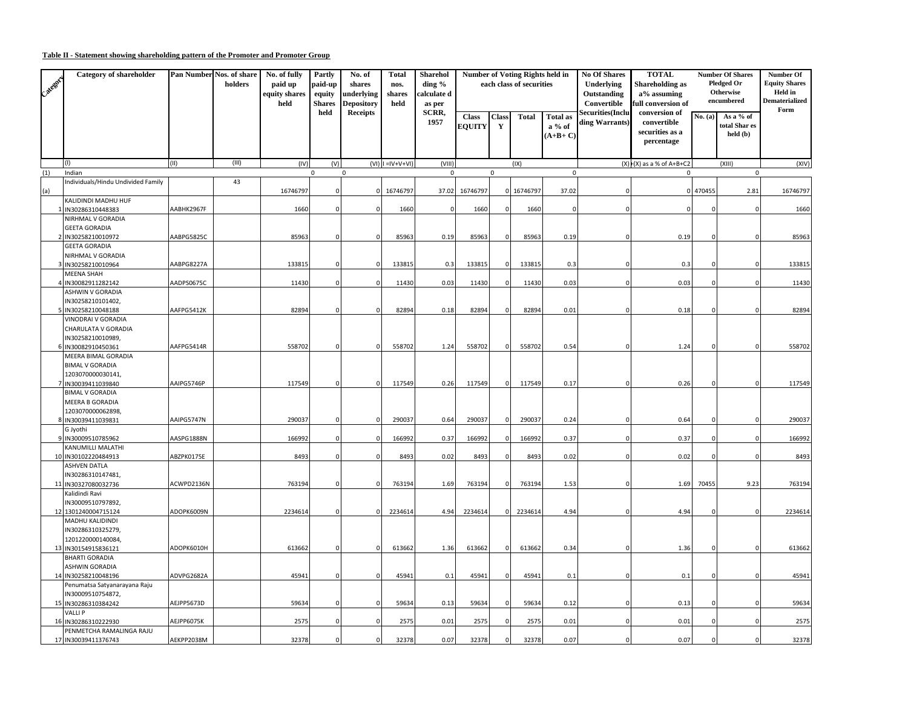## **Table II - Statement showing shareholding pattern of the Promoter and Promoter Group**

| Categor ) | Category of shareholder                                                            |            | Pan Number Nos. of share<br>holders | No. of fully<br>paid up<br>equity shares<br>held | Partly<br>paid-up<br>equity<br><b>Shares</b> | No. of<br>shares<br><b>inderlying</b><br>Depository | <b>Total</b><br>nos.<br>shares<br>held | <b>Sharehol</b><br>ding %<br>:alculate d<br>as per |                               |                              | <b>Number of Voting Rights held in</b><br>each class of securities |                                        | <b>No Of Shares</b><br>Underlying<br>Outstanding<br>Convertible | <b>TOTAL</b><br><b>Shareholding as</b><br>a% assuming<br>ull conversion of |          | <b>Number Of Shares</b><br><b>Pledged Or</b><br>Otherwise<br>encumbered | Number Of<br><b>Equity Shares</b><br>Held in<br><b>Dematerialized</b><br>Form |
|-----------|------------------------------------------------------------------------------------|------------|-------------------------------------|--------------------------------------------------|----------------------------------------------|-----------------------------------------------------|----------------------------------------|----------------------------------------------------|-------------------------------|------------------------------|--------------------------------------------------------------------|----------------------------------------|-----------------------------------------------------------------|----------------------------------------------------------------------------|----------|-------------------------------------------------------------------------|-------------------------------------------------------------------------------|
|           |                                                                                    |            |                                     |                                                  | held                                         | Receipts                                            |                                        | SCRR,<br>1957                                      | <b>Class</b><br><b>EOUITY</b> | <b>Class</b><br>$\mathbf{Y}$ | <b>Total</b>                                                       | <b>Total as</b><br>a % of<br>$(A+B+C)$ | <b>Securities(Inclu</b><br>ding Warrants)                       | conversion of<br>convertible<br>securities as a<br>percentage              | No. (a)  | As a % of<br>total Shar es<br>held (b)                                  |                                                                               |
|           | (1)                                                                                | (II)       | (III)                               | (IV)                                             | (V)                                          |                                                     | $(VI)$ I = $V+V+VI$                    | (VIII)                                             |                               |                              | (IX)                                                               |                                        |                                                                 | $(X)$ $E(X)$ as a % of A+B+C2                                              |          | (XIII)                                                                  | (XIV)                                                                         |
| (1)       | Indian                                                                             |            |                                     |                                                  | 0                                            | $\mathbf 0$                                         |                                        | $\mathbf 0$                                        |                               | 0                            |                                                                    | $\mathsf 0$                            |                                                                 | $\mathsf 0$                                                                |          | $\mathbf 0$                                                             |                                                                               |
| (a)       | Individuals/Hindu Undivided Family                                                 |            | 43                                  | 16746797                                         |                                              | $\Omega$                                            | 16746797                               | 37.02                                              | 16746797                      | n                            | 16746797                                                           | 37.02                                  |                                                                 |                                                                            | 0 470455 | 2.81                                                                    | 16746797                                                                      |
|           | KALIDINDI MADHU HUF<br>IN30286310448383                                            | AABHK2967F |                                     | 1660                                             |                                              |                                                     | 1660                                   |                                                    | 1660                          |                              | 1660                                                               | $\mathsf{C}$                           |                                                                 |                                                                            |          | $\Omega$                                                                | 1660                                                                          |
|           | NIRHMAL V GORADIA<br><b>GEETA GORADIA</b><br>IN30258210010972                      | AABPG5825C |                                     | 85963                                            |                                              | C.                                                  | 85963                                  | 0.19                                               | 85963                         |                              | 85963                                                              | 0.19                                   |                                                                 | 0.19                                                                       |          |                                                                         | 85963                                                                         |
|           | <b>GEETA GORADIA</b><br>NIRHMAL V GORADIA                                          |            |                                     |                                                  |                                              |                                                     |                                        |                                                    |                               |                              |                                                                    |                                        |                                                                 |                                                                            |          |                                                                         |                                                                               |
|           | 3 IN30258210010964                                                                 | AABPG8227A |                                     | 133815                                           |                                              | $\Omega$                                            | 133815                                 | 0.3                                                | 133815                        | O                            | 133815                                                             | 0.3                                    |                                                                 | 0.3                                                                        |          | $\Omega$                                                                | 133815                                                                        |
|           | <b>MEENA SHAH</b><br>IN30082911282142                                              | AADPS0675C |                                     | 11430                                            |                                              |                                                     | 11430                                  | 0.03                                               | 11430                         |                              | 11430                                                              | 0.03                                   |                                                                 | 0.03                                                                       |          |                                                                         | 11430                                                                         |
|           | ASHWIN V GORADIA<br>IN30258210101402,                                              |            |                                     |                                                  |                                              |                                                     |                                        |                                                    |                               |                              |                                                                    |                                        |                                                                 |                                                                            |          |                                                                         |                                                                               |
|           | IN30258210048188<br>VINODRAI V GORADIA<br>CHARULATA V GORADIA<br>IN30258210010989, | AAFPG5412K |                                     | 82894                                            | $\Omega$                                     | $\mathsf{C}$                                        | 82894                                  | 0.18                                               | 82894                         | c                            | 82894                                                              | 0.01                                   |                                                                 | 0.18                                                                       |          | n                                                                       | 82894                                                                         |
|           | IN30082910450361<br>MEERA BIMAL GORADIA<br><b>BIMAL V GORADIA</b>                  | AAFPG5414R |                                     | 558702                                           | $\mathbf 0$                                  | $\Omega$                                            | 558702                                 | 1.24                                               | 558702                        | $\sqrt{ }$                   | 558702                                                             | 0.54                                   |                                                                 | 1.24                                                                       |          |                                                                         | 558702                                                                        |
|           | 1203070000030141,<br>IN30039411039840<br><b>BIMAL V GORADIA</b>                    | AAIPG5746P |                                     | 117549                                           | $\Omega$                                     | $\Omega$                                            | 117549                                 | 0.26                                               | 117549                        | $\Omega$                     | 117549                                                             | 0.17                                   |                                                                 | 0.26                                                                       |          | $\Omega$                                                                | 117549                                                                        |
|           | MEERA B GORADIA<br>1203070000062898,<br>8 IN30039411039831                         | AAIPG5747N |                                     | 290037                                           | $\Omega$                                     | $\Omega$                                            | 290037                                 | 0.64                                               | 290037                        | O                            | 290037                                                             | 0.24                                   |                                                                 | 0.64                                                                       |          | n                                                                       | 290037                                                                        |
|           | G Jyothi<br>9 IN30009510785962                                                     | AASPG1888N |                                     | 166992                                           |                                              |                                                     | 166992                                 | 0.37                                               | 166992                        |                              | 166992                                                             | 0.37                                   |                                                                 | 0.37                                                                       |          |                                                                         | 166992                                                                        |
|           | KANUMILLI MALATHI<br>10 IN30102220484913                                           | ABZPK0175E |                                     | 8493                                             |                                              | $\mathsf{C}$                                        | 8493                                   | 0.02                                               | 8493                          |                              | 8493                                                               | 0.02                                   |                                                                 | 0.02                                                                       | O        | $\Omega$                                                                | 8493                                                                          |
|           | ASHVEN DATLA<br>IN30286310147481,                                                  |            |                                     |                                                  |                                              |                                                     |                                        |                                                    |                               |                              |                                                                    |                                        |                                                                 |                                                                            |          |                                                                         |                                                                               |
|           | 11 IN30327080032736<br>Kalidindi Ravi                                              | ACWPD2136N |                                     | 763194                                           | C                                            | $\Omega$                                            | 763194                                 | 1.69                                               | 763194                        |                              | 763194                                                             | 1.53                                   |                                                                 | 1.69                                                                       | 70455    | 9.23                                                                    | 763194                                                                        |
|           | IN30009510797892,<br>12 1301240004715124                                           | ADOPK6009N |                                     | 2234614                                          | $\Omega$                                     | 0                                                   | 2234614                                | 4.94                                               | 2234614                       | O                            | 2234614                                                            | 4.94                                   |                                                                 | 4.94                                                                       |          |                                                                         | 2234614                                                                       |
|           | MADHU KALIDINDI<br>IN30286310325279,<br>1201220000140084,                          |            |                                     |                                                  |                                              |                                                     |                                        |                                                    |                               |                              |                                                                    |                                        |                                                                 |                                                                            |          |                                                                         |                                                                               |
|           | 13 IN30154915836121<br><b>BHARTI GORADIA</b>                                       | ADOPK6010H |                                     | 613662                                           | $\Omega$                                     | 0                                                   | 613662                                 | 1.36                                               | 613662                        | O                            | 613662                                                             | 0.34                                   |                                                                 | 1.36                                                                       |          |                                                                         | 613662                                                                        |
|           | ASHWIN GORADIA<br>14 IN30258210048196                                              | ADVPG2682A |                                     | 45941                                            | $\Omega$                                     | $\mathsf{C}$                                        | 45941                                  | 0.1                                                | 45941                         | $\Omega$                     | 45941                                                              | 0.1                                    |                                                                 | 0.1                                                                        | C        | $\Omega$                                                                | 45941                                                                         |
|           | Penumatsa Satyanarayana Raju<br>IN30009510754872,                                  |            |                                     |                                                  |                                              |                                                     |                                        |                                                    |                               |                              |                                                                    |                                        |                                                                 |                                                                            |          |                                                                         |                                                                               |
|           | 15 IN30286310384242<br><b>VALLIP</b>                                               | AEJPP5673D |                                     | 59634                                            | n                                            | $\Omega$                                            | 59634                                  | 0.13                                               | 59634                         | O                            | 59634                                                              | 0.12                                   |                                                                 | 0.13                                                                       | -C       | n                                                                       | 59634                                                                         |
|           | 16 IN30286310222930<br>PENMETCHA RAMALINGA RAJU                                    | AEJPP6075K |                                     | 2575                                             | $\sqrt{2}$                                   |                                                     | 2575                                   | 0.01                                               | 2575                          |                              | 2575                                                               | 0.01                                   |                                                                 | 0.01                                                                       |          |                                                                         | 2575                                                                          |
|           | 17 IN30039411376743                                                                | AEKPP2038M |                                     | 32378                                            | $\Omega$                                     | $\Omega$                                            | 32378                                  | 0.07                                               | 32378                         | $\Omega$                     | 32378                                                              | 0.07                                   |                                                                 | 0.07                                                                       | $\Omega$ | $\Omega$                                                                | 32378                                                                         |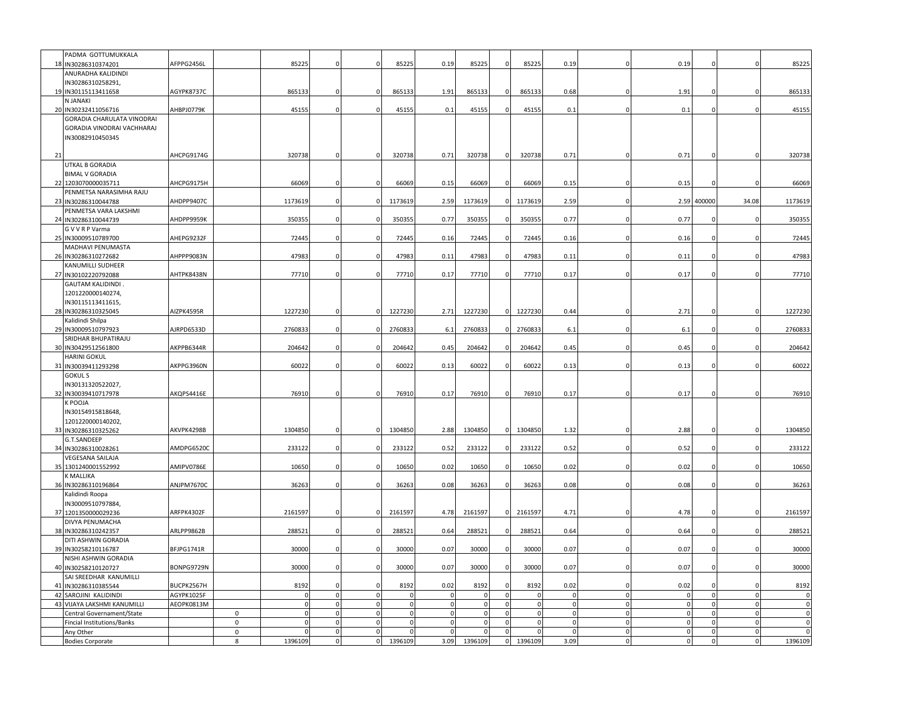|    | PADMA GOTTUMUKKALA                                      |            |   |          |                             |                            |             |                         |                         |                      |                             |                         |                         |                         |                            |                            |                            |
|----|---------------------------------------------------------|------------|---|----------|-----------------------------|----------------------------|-------------|-------------------------|-------------------------|----------------------|-----------------------------|-------------------------|-------------------------|-------------------------|----------------------------|----------------------------|----------------------------|
| 18 | IN30286310374201                                        | AFPPG2456L |   | 85225    | $\Omega$                    | $\Omega$                   | 85225       | 0.19                    | 85225                   |                      | 85225                       | 0.19                    |                         | 0.19                    |                            |                            | 85225                      |
|    | ANURADHA KALIDINDI                                      |            |   |          |                             |                            |             |                         |                         |                      |                             |                         |                         |                         |                            |                            |                            |
|    | IN30286310258291,                                       |            |   |          |                             |                            |             |                         |                         |                      |                             |                         |                         |                         |                            |                            |                            |
|    | 19 IN30115113411658                                     | AGYPK8737C |   | 865133   | 0                           | $\Omega$                   | 865133      | 1.91                    | 865133                  |                      | 865133                      | 0.68                    |                         | 1.91                    |                            |                            | 865133                     |
|    | N JANAKI                                                |            |   |          |                             |                            |             |                         |                         |                      |                             |                         |                         |                         |                            |                            |                            |
|    | 20 IN30232411056716                                     | AHBPJ0779K |   | 45155    | $\Omega$                    | $\Omega$                   | 45155       | 0.1                     | 45155                   |                      | 45155                       | 0.1                     | $\Omega$                | 0.1                     |                            |                            | 45155                      |
|    | GORADIA CHARULATA VINODRAI                              |            |   |          |                             |                            |             |                         |                         |                      |                             |                         |                         |                         |                            |                            |                            |
|    | GORADIA VINODRAI VACHHARAJ                              |            |   |          |                             |                            |             |                         |                         |                      |                             |                         |                         |                         |                            |                            |                            |
|    | IN30082910450345                                        |            |   |          |                             |                            |             |                         |                         |                      |                             |                         |                         |                         |                            |                            |                            |
|    |                                                         |            |   |          |                             |                            |             |                         |                         |                      |                             |                         |                         |                         |                            |                            |                            |
| 21 |                                                         | AHCPG9174G |   | 320738   | 0                           | $\mathbf 0$                | 320738      | 0.71                    | 320738                  | $\mathbf 0$          | 320738                      | 0.71                    |                         | 0.71                    |                            |                            | 320738                     |
|    | UTKAL B GORADIA                                         |            |   |          |                             |                            |             |                         |                         |                      |                             |                         |                         |                         |                            |                            |                            |
|    | <b>BIMAL V GORADIA</b><br>22 1203070000035711           | AHCPG9175H |   | 66069    | 0                           | $\overline{0}$             | 66069       | 0.15                    | 66069                   |                      | 66069                       | 0.15                    |                         | 0.15                    | $^{\circ}$                 |                            | 66069                      |
|    | PENMETSA NARASIMHA RAJU                                 |            |   |          |                             |                            |             |                         |                         |                      |                             |                         |                         |                         |                            |                            |                            |
|    | 23 IN30286310044788                                     | AHDPP9407C |   | 1173619  | $\Omega$                    | $\Omega$                   | 1173619     | 2.59                    | 1173619                 |                      | 1173619                     | 2.59                    |                         |                         | 2.59 400000                | 34.08                      | 1173619                    |
|    | PENMETSA VARA LAKSHMI                                   |            |   |          |                             |                            |             |                         |                         |                      |                             |                         |                         |                         |                            |                            |                            |
| 24 | IN30286310044739                                        | АНDРР9959К |   | 350355   | $\Omega$                    | $\Omega$                   | 350355      | 0.77                    | 350355                  |                      | 350355                      | 0.77                    |                         | 0.77                    |                            |                            | 350355                     |
|    | G V V R P Varma                                         |            |   |          |                             |                            |             |                         |                         |                      |                             |                         |                         |                         |                            |                            |                            |
|    | 25 IN30009510789700                                     | AHEPG9232F |   | 72445    | $\mathbf 0$                 | $\mathbf 0$                | 72445       | 0.16                    | 72445                   | $\Omega$             | 72445                       | 0.16                    | $\Omega$                | 0.16                    | $\Omega$                   |                            | 72445                      |
|    | MADHAVI PENUMASTA                                       |            |   |          |                             |                            |             |                         |                         |                      |                             |                         |                         |                         |                            |                            |                            |
|    | 26 IN30286310272682                                     | AHPPP9083N |   | 47983    | $\Omega$                    | $\mathbf 0$                | 47983       | 0.11                    | 47983                   | $\Omega$             | 47983                       | 0.11                    | $\Omega$                | 0.11                    | $\Omega$                   |                            | 47983                      |
|    | KANUMILLI SUDHEER                                       |            |   |          |                             |                            |             |                         |                         |                      |                             |                         |                         |                         |                            |                            |                            |
| 27 | IN30102220792088                                        | AHTPK8438N |   | 77710    | 0                           | $\Omega$                   | 77710       | 0.17                    | 77710                   |                      | 77710                       | 0.17                    | $\Omega$                | 0.17                    | $\Omega$                   |                            | 77710                      |
|    | <b>GAUTAM KALIDINDI.</b>                                |            |   |          |                             |                            |             |                         |                         |                      |                             |                         |                         |                         |                            |                            |                            |
|    | 1201220000140274,                                       |            |   |          |                             |                            |             |                         |                         |                      |                             |                         |                         |                         |                            |                            |                            |
|    | IN30115113411615,                                       |            |   |          |                             |                            |             |                         |                         |                      |                             |                         |                         |                         |                            |                            |                            |
|    | 28 IN30286310325045                                     | AIZPK4595R |   | 1227230  | $\mathbf{0}$                | $\mathbf 0$                | 1227230     | 2.71                    | 1227230                 |                      | 1227230                     | 0.44                    |                         | 2.71                    |                            |                            | 1227230                    |
|    | Kalidindi Shilpa                                        |            |   |          | $\mathbf 0$                 | $\mathbf 0$                |             | 6.1                     |                         |                      |                             | 6.1                     | $\Omega$                |                         | $\Omega$                   |                            |                            |
|    | 29 IN30009510797923<br>SRIDHAR BHUPATIRAJU              | AJRPD6533D |   | 2760833  |                             |                            | 2760833     |                         | 2760833                 |                      | 2760833                     |                         |                         | 6.1                     |                            |                            | 2760833                    |
|    | 30 IN30429512561800                                     | AKPPB6344R |   | 204642   | $\Omega$                    | $\Omega$                   | 204642      | 0.45                    | 204642                  |                      | 204642                      | 0.45                    |                         | 0.45                    |                            |                            | 204642                     |
|    | HARINI GOKUL                                            |            |   |          |                             |                            |             |                         |                         |                      |                             |                         |                         |                         |                            |                            |                            |
| 31 | IN30039411293298                                        | AKPPG3960N |   | 60022    | $\mathbf 0$                 | $\mathbf 0$                | 60022       | 0.13                    | 60022                   | $\Omega$             | 60022                       | 0.13                    | $\Omega$                | 0.13                    | 0                          |                            | 60022                      |
|    | GOKUL S                                                 |            |   |          |                             |                            |             |                         |                         |                      |                             |                         |                         |                         |                            |                            |                            |
|    | IN30131320522027,                                       |            |   |          |                             |                            |             |                         |                         |                      |                             |                         |                         |                         |                            |                            |                            |
|    | 32 IN30039410717978                                     | AKQPS4416E |   | 76910    | $\Omega$                    | $\mathbf 0$                | 76910       | 0.17                    | 76910                   | $\Omega$             | 76910                       | 0.17                    | $\Omega$                | 0.17                    |                            |                            | 76910                      |
|    | <b>CPOOJA</b>                                           |            |   |          |                             |                            |             |                         |                         |                      |                             |                         |                         |                         |                            |                            |                            |
|    | IN30154915818648,                                       |            |   |          |                             |                            |             |                         |                         |                      |                             |                         |                         |                         |                            |                            |                            |
|    | 1201220000140202,                                       |            |   |          |                             |                            |             |                         |                         |                      |                             |                         |                         |                         |                            |                            |                            |
|    | 33 IN30286310325262                                     | AKVPK4298B |   | 1304850  | $\mathsf 0$                 | $\mathbf 0$                | 1304850     | 2.88                    | 1304850                 | $\Omega$             | 1304850                     | 1.32                    | $\Omega$                | 2.88                    | $\overline{0}$             |                            | 1304850                    |
|    | G.T.SANDEEP                                             |            |   |          |                             |                            |             |                         |                         |                      |                             |                         |                         |                         |                            |                            |                            |
|    | 34 IN30286310028261                                     | AMDPG6520C |   | 233122   | 0                           | $\mathbf 0$                | 233122      | 0.52                    | 233122                  |                      | 233122                      | 0.52                    |                         | 0.52                    |                            |                            | 233122                     |
| 35 | VEGESANA SAILAJA<br>1301240001552992                    | AMIPV0786E |   | 10650    | 0                           | $\mathbf 0$                | 1065        | 0.02                    | 10650                   |                      | 10650                       | 0.02                    |                         | 0.02                    |                            |                            | 10650                      |
|    | (MALLIKA                                                |            |   |          |                             |                            |             |                         |                         |                      |                             |                         |                         |                         |                            |                            |                            |
|    | 36 IN30286310196864                                     | ANJPM7670C |   | 36263    | $\mathbf 0$                 | $\Omega$                   | 36263       | 0.08                    | 36263                   |                      | 36263                       | 0.08                    |                         | 0.08                    | $\Omega$                   |                            | 36263                      |
|    | Kalidindi Roopa                                         |            |   |          |                             |                            |             |                         |                         |                      |                             |                         |                         |                         |                            |                            |                            |
|    | IN30009510797884,                                       |            |   |          |                             |                            |             |                         |                         |                      |                             |                         |                         |                         |                            |                            |                            |
|    | 37 1201350000029236                                     | ARFPK4302F |   | 2161597  | $\Omega$                    | $\Omega$                   | 2161597     | 4.78                    | 2161597                 |                      | 2161597                     | 4.71                    |                         | 4.78                    |                            |                            | 2161597                    |
|    | DIVYA PENUMACHA                                         |            |   |          |                             |                            |             |                         |                         |                      |                             |                         |                         |                         |                            |                            |                            |
|    | 38 IN30286310242357                                     | ARLPP9862B |   | 288521   | $\Omega$                    | $\Omega$                   | 28852       | 0.64                    | 288521                  |                      | 288521                      | 0.64                    | n                       | 0.64                    | $\Omega$                   |                            | 288521                     |
|    | DITI ASHWIN GORADIA                                     |            |   |          |                             |                            |             |                         |                         |                      |                             |                         |                         |                         |                            |                            |                            |
|    | 39 IN30258210116787                                     | BFJPG1741R |   | 30000    | $\mathbf 0$                 | $\mathbf 0$                | 30000       | 0.07                    | 30000                   | $\Omega$             | 30000                       | 0.07                    | $\Omega$                | 0.07                    | $\mathbf 0$                |                            | 30000                      |
|    | NISHI ASHWIN GORADIA                                    |            |   |          |                             |                            |             |                         |                         |                      |                             |                         |                         |                         |                            |                            |                            |
|    | 40 IN30258210120727                                     | BONPG9729N |   | 30000    | $\Omega$                    | $\mathsf 0$                | 30000       | 0.07                    | 30000                   | $\Omega$             | 30000                       | 0.07                    | $\Omega$                | 0.07                    | $\Omega$                   |                            | 30000                      |
|    | SAI SREEDHAR KANUMILLI                                  |            |   |          |                             |                            |             |                         |                         |                      |                             |                         |                         |                         |                            |                            |                            |
| 41 | IN30286310385544                                        | BUCPK2567H |   | 8192     | $\mathbf 0$                 | $\Omega$                   | 8192        | 0.02                    | 8192                    |                      | 8192                        | 0.02                    | $\Omega$                | 0.02                    |                            |                            | 8192                       |
| 42 | SAROJINI KALIDINDI                                      | AGYPK1025F |   | $\Omega$ | $\mathbf{0}$                | $\mathsf 0$                |             | $\Omega$                | $\mathsf{O}$            | $\Omega$<br>$\Omega$ | $\Omega$                    | $\Omega$<br>$\mathbf 0$ | $\mathbf 0$             | $\Omega$                | $\Omega$                   |                            | $\Omega$                   |
|    | 43 VIJAYA LAKSHMI KANUMILLI                             | AEOPK0813M | 0 | $\Omega$ | $\mathsf{O}$<br>$\mathbf 0$ | $\mathsf 0$<br>$\mathsf 0$ | $\mathbf 0$ | $\mathbf 0$<br>$\Omega$ | $\mathbf 0$<br>$\Omega$ |                      | $\mathsf{O}$<br>$\mathbf 0$ | $\Omega$                | $\mathbf 0$<br>$\Omega$ | $\mathbf 0$<br>$\Omega$ | $\overline{0}$<br>$\Omega$ | $\overline{0}$<br>$\Omega$ | $\mathbf 0$<br>$\mathbf 0$ |
|    | Central Governament/State<br>Fincial Institutions/Banks |            | 0 |          | $\mathbf 0$                 | $\mathsf 0$                |             | $\Omega$                | $\mathsf{O}$            | $\mathbf 0$          | $\mathsf{O}$                | $\mathbf 0$             | $\mathsf{O}$            | $\mathsf{O}\xspace$     | $\mathbf 0$                | $\Omega$                   | $\Omega$                   |
|    | Any Other                                               |            | 0 | $\Omega$ | $\mathsf{O}$                | $\mathbf 0$                |             | $\Omega$                | $\mathsf{O}$            | $\overline{0}$       | $\Omega$                    | $\Omega$                | $\mathbf 0$             | $\Omega$                | $\overline{0}$             | 0                          | $\mathbf 0$                |
|    | <b>Bodies Corporate</b>                                 |            | 8 | 1396109  | $\mathbf 0$                 | $\circ$                    | 1396109     | 3.09                    | 1396109                 | $\mathbf{0}$         | 1396109                     | 3.09                    | $\circ$                 | $\overline{0}$          | $\mathbf 0$                | $\overline{0}$             | 1396109                    |
|    |                                                         |            |   |          |                             |                            |             |                         |                         |                      |                             |                         |                         |                         |                            |                            |                            |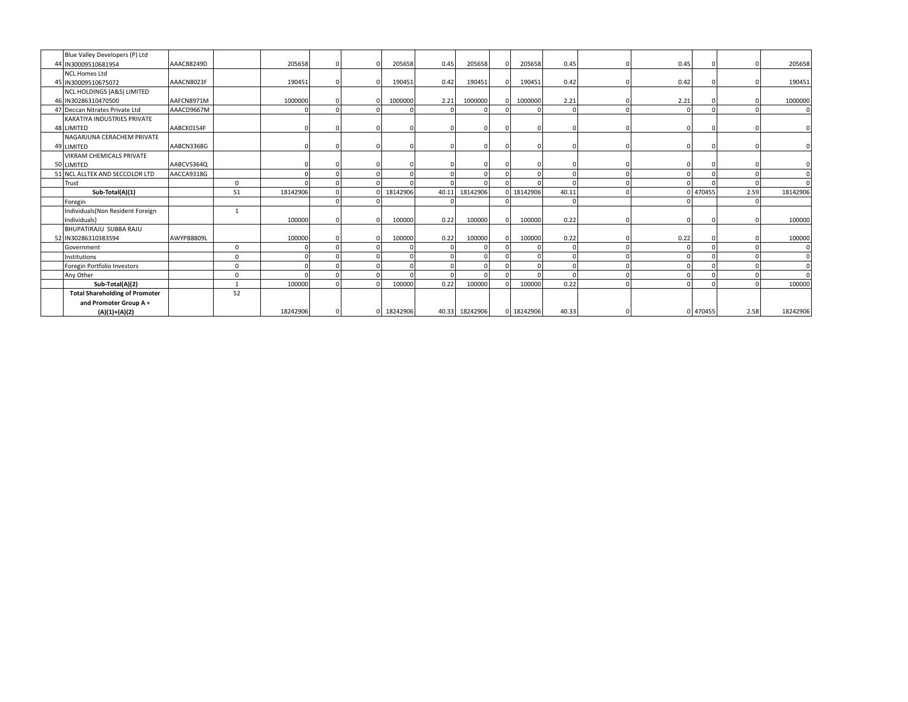| Blue Valley Developers (P) Ltd        |            |          |          |          |            |      |                |            |            |      |          |      |          |
|---------------------------------------|------------|----------|----------|----------|------------|------|----------------|------------|------------|------|----------|------|----------|
| 44 IN30009510681954                   | AAACB8249D |          | 205658   |          | 205658     | 0.45 | 205658         | 205658     | 0.45       | 0.45 |          |      | 205658   |
| <b>NCL Homes Ltd</b>                  |            |          |          |          |            |      |                |            |            |      |          |      |          |
| 45 IN30009510675072                   | AAACN8023F |          | 190451   |          | 190451     | 0.42 | 190451         | 190451     | 0.42       | 0.42 |          |      | 190451   |
| NCL HOLDINGS (A&S) LIMITED            |            |          |          |          |            |      |                |            |            |      |          |      |          |
| 46 IN30286310470500                   | AAFCN8971M |          | 1000000  |          | 1000000    | 2.21 | 1000000        | 1000000    | 2.21       | 2.21 |          |      | 1000000  |
| 47 Deccan Nitrates Private Ltd        | AAACD9667M |          |          |          |            |      |                |            | $\Omega$   |      |          |      |          |
| KAKATIYA INDUSTRIES PRIVATE           |            |          |          |          |            |      |                |            |            |      |          |      |          |
| 48 LIMITED                            | AABCK0154F |          |          |          |            |      | $\Omega$       |            |            |      |          |      |          |
| NAGARJUNA CERACHEM PRIVATE            |            |          |          |          |            |      |                |            |            |      |          |      |          |
| 49 LIMITED                            | AABCN3368G |          |          |          |            |      | $\Omega$       |            |            |      |          |      |          |
| VIKRAM CHEMICALS PRIVATE              |            |          |          |          |            |      |                |            |            |      |          |      |          |
| 50 LIMITED                            | AABCV5364Q |          |          |          |            |      | $\Omega$       |            |            |      |          |      |          |
| 51 NCL ALLTEK AND SECCOLOR LTD        | AACCA9318G |          |          |          |            |      | $\Omega$       |            |            |      |          |      |          |
| Trust                                 |            | 0        |          |          |            |      |                |            |            |      |          |      |          |
| Sub-Total(A)(1)                       |            | 51       | 18142906 | $\Omega$ | 18142906   |      | 40.11 18142906 | 0 18142906 | 40.11      |      | 0 470455 | 2.59 | 18142906 |
| Foregin                               |            |          |          |          |            |      |                |            | $\sqrt{ }$ |      |          |      |          |
| Individuals (Non Resident Foreign     |            |          |          |          |            |      |                |            |            |      |          |      |          |
| Individuals)                          |            |          | 100000   |          | 100000     | 0.22 | 100000         | 100000     | 0.22       |      |          |      | 100000   |
| BHUPATIRAJU SUBBA RAJU                |            |          |          |          |            |      |                |            |            |      |          |      |          |
| 52 IN30286310383594                   | AWYPB8809L |          | 100000   |          | 100000     | 0.22 | 100000         | 100000     | 0.22       | 0.22 |          |      | 100000   |
| Government                            |            | $\Omega$ |          |          |            |      |                |            |            |      |          |      |          |
| Institutions                          |            | $\Omega$ |          |          |            |      | $\Omega$       | $\Omega$   |            |      |          |      |          |
| Foregin Portfolio Investors           |            | 0        |          |          |            |      |                | $\sqrt{ }$ |            |      |          |      |          |
| Any Other                             |            | $\Omega$ |          |          |            |      | $\Omega$       | $\Omega$   | $\Omega$   |      |          |      |          |
| Sub-Total(A)(2)                       |            |          | 100000   |          | 100000     | 0.22 | 100000         | 100000     | 0.22       |      |          |      | 100000   |
| <b>Total Shareholding of Promoter</b> |            | 52       |          |          |            |      |                |            |            |      |          |      |          |
| and Promoter Group A =                |            |          |          |          |            |      |                |            |            |      |          |      |          |
| $(A)(1)+(A)(2)$                       |            |          | 18242906 |          | 0 18242906 |      | 40.33 18242906 | 0 18242906 | 40.33      |      | 0 470455 | 2.58 | 18242906 |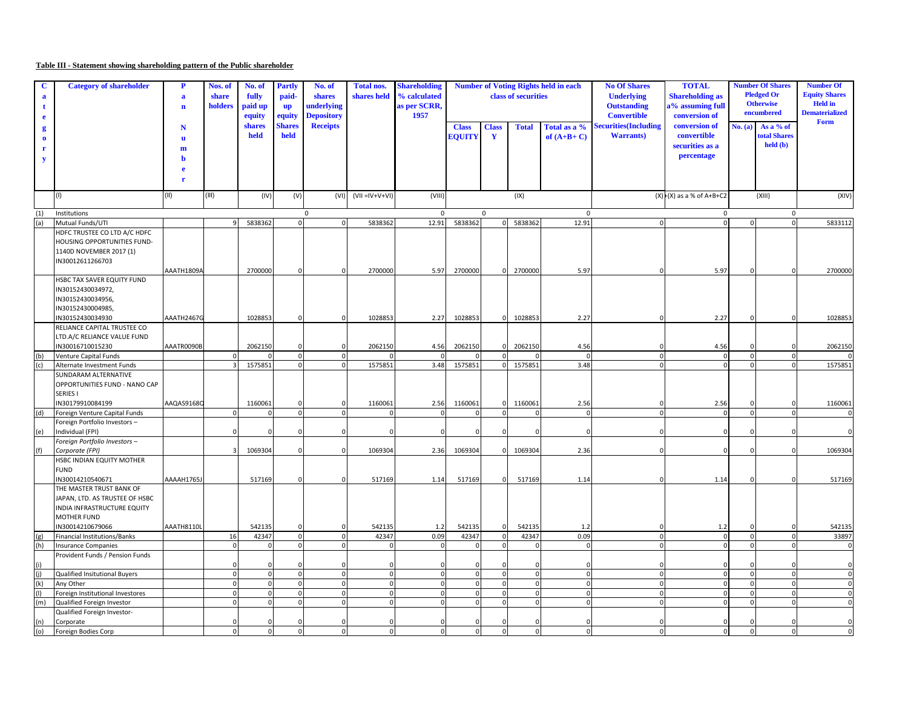## **Table III - Statement showing shareholding pattern of the Public shareholder**

| a   | <b>Category of shareholder</b>                                                                                                      | $\mathbf P$<br>$\mathbf a$<br>$\mathbf n$ | Nos. of<br>share<br>holders | No. of<br>fully<br>paid up<br>equity | <b>Partly</b><br>paid-<br><b>up</b><br>equity | No. of<br>shares<br>underlying<br><b>Depository</b> | <b>Total nos.</b><br>shares held | <b>Shareholding</b><br>% calculated<br>as per SCRR,<br>1957 | <b>Number of Voting Rights held in each</b><br>class of securities |                              |              |                              | <b>No Of Shares</b><br><b>TOTAL</b><br><b>Shareholding as</b><br><b>Underlying</b><br>a% assuming full<br><b>Outstanding</b><br><b>Convertible</b><br>conversion of |                                                               |              | <b>Number Of Shares</b><br><b>Pledged Or</b><br><b>Otherwise</b><br>encumbered | <b>Number Of</b><br><b>Equity Shares</b><br><b>Held</b> in<br><b>Dematerialized</b> |
|-----|-------------------------------------------------------------------------------------------------------------------------------------|-------------------------------------------|-----------------------------|--------------------------------------|-----------------------------------------------|-----------------------------------------------------|----------------------------------|-------------------------------------------------------------|--------------------------------------------------------------------|------------------------------|--------------|------------------------------|---------------------------------------------------------------------------------------------------------------------------------------------------------------------|---------------------------------------------------------------|--------------|--------------------------------------------------------------------------------|-------------------------------------------------------------------------------------|
|     |                                                                                                                                     | N<br>$\mathbf{u}$<br>m<br>h               |                             | shares<br>held                       | <b>Shares</b><br>held                         | <b>Receipts</b>                                     |                                  |                                                             | <b>Class</b><br><b>EQUITY</b>                                      | <b>Class</b><br>$\mathbf{Y}$ | <b>Total</b> | Total as a %<br>of $(A+B+C)$ | Securities(Including<br><b>Warrants</b> )                                                                                                                           | conversion of<br>convertible<br>securities as a<br>percentage | No. (a)      | As a % of<br><b>total Shares</b><br>held (b)                                   | Form                                                                                |
|     |                                                                                                                                     | г                                         |                             |                                      |                                               |                                                     |                                  |                                                             |                                                                    |                              |              |                              |                                                                                                                                                                     |                                                               |              |                                                                                |                                                                                     |
|     |                                                                                                                                     | (II)                                      | (III)                       | (IV)                                 | (V)                                           | (VI)                                                | $(VII = IV + V + VI)$            | (VIII)                                                      |                                                                    |                              | (IX)         |                              |                                                                                                                                                                     | $(X)$ $(x)$ as a % of A+B+C2                                  |              | (XIII)                                                                         | (XIV)                                                                               |
| (1) | Institutions                                                                                                                        |                                           |                             |                                      |                                               | $\mathbf 0$                                         |                                  | $\mathbf{0}$                                                |                                                                    | $\mathbf{0}$                 |              | $\mathbf 0$                  |                                                                                                                                                                     | $\mathbf{0}$                                                  |              | $\mathbf{0}$                                                                   |                                                                                     |
| (a) | Mutual Funds/UTI                                                                                                                    |                                           | $\mathbf{Q}$                | 5838362                              | $\mathbf{0}$                                  | $\mathbf 0$                                         | 5838362                          | 12.91                                                       | 5838362                                                            | $\Omega$                     | 5838362      | 12.91                        | $\mathbf 0$                                                                                                                                                         | $\Omega$                                                      | $\Omega$     | $\mathbf{o}$                                                                   | 5833112                                                                             |
|     | HDFC TRUSTEE CO LTD A/C HDFC<br>HOUSING OPPORTUNITIES FUND-<br>1140D NOVEMBER 2017 (1)<br>IN30012611266703                          | AAATH1809A                                |                             | 2700000                              | $\Omega$                                      | ſ                                                   | 2700000                          | 5.97                                                        | 2700000                                                            | $\Omega$                     | 2700000      | 5.97                         | $\mathbf 0$                                                                                                                                                         | 5.97                                                          | $\mathbf 0$  | $\Omega$                                                                       | 2700000                                                                             |
|     | HSBC TAX SAVER EQUITY FUND<br>IN30152430034972,<br>IN30152430034956,<br>IN30152430004985,                                           | AAATH2467G                                |                             | 1028853                              | $\mathsf{C}$                                  | $\Omega$                                            |                                  | 2.27                                                        | 1028853                                                            | $\Omega$                     |              | 2.27                         | $\Omega$                                                                                                                                                            | 2.27                                                          | $\Omega$     | $\Omega$                                                                       | 1028853                                                                             |
|     | IN30152430034930<br>RELIANCE CAPITAL TRUSTEE CO                                                                                     |                                           |                             |                                      |                                               |                                                     | 1028853                          |                                                             |                                                                    |                              | 1028853      |                              |                                                                                                                                                                     |                                                               |              |                                                                                |                                                                                     |
|     | LTD.A/C RELIANCE VALUE FUND                                                                                                         |                                           |                             |                                      |                                               |                                                     |                                  |                                                             |                                                                    |                              |              |                              |                                                                                                                                                                     |                                                               |              |                                                                                |                                                                                     |
|     | IN30016710015230                                                                                                                    | AAATR0090B                                |                             | 2062150                              | $\Omega$                                      | $\Omega$                                            | 2062150                          | 4.56                                                        | 2062150                                                            |                              | 2062150      | 4.56                         | $\mathbf 0$                                                                                                                                                         | 4.56                                                          | $\Omega$     | $\Omega$                                                                       | 2062150                                                                             |
| (b) | <b>Venture Capital Funds</b>                                                                                                        |                                           |                             |                                      | $\mathbf 0$                                   | $\mathbf 0$                                         |                                  |                                                             |                                                                    |                              |              | $\Omega$                     | $\mathbf 0$                                                                                                                                                         | $\Omega$                                                      | $\mathbf 0$  | $\Omega$                                                                       |                                                                                     |
| (c) | Alternate Investment Funds                                                                                                          |                                           |                             | 1575851                              | $\Omega$                                      | $\Omega$                                            | 1575851                          | 3.48                                                        | 1575851                                                            |                              | 1575851      | 3.48                         | $\Omega$                                                                                                                                                            |                                                               |              | $\Omega$                                                                       | 1575851                                                                             |
|     | SUNDARAM ALTERNATIVE<br>OPPORTUNITIES FUND - NANO CAP<br>SERIES I<br>IN30179910084199                                               | AAQAS9168C                                |                             | 1160061                              |                                               | c                                                   | 1160061                          | 2.56                                                        | 1160061                                                            |                              | 1160061      | 2.56                         |                                                                                                                                                                     | 2.56                                                          |              |                                                                                | 1160061                                                                             |
| (d) | Foreign Venture Capital Funds                                                                                                       |                                           |                             |                                      | $\mathbf 0$                                   | $\Omega$                                            |                                  |                                                             |                                                                    |                              |              | $\Omega$                     | $\mathbf 0$                                                                                                                                                         |                                                               | $\Omega$     | $\Omega$                                                                       |                                                                                     |
| (e) | Foreign Portfolio Investors-<br>Individual (FPI)                                                                                    |                                           |                             |                                      | C                                             |                                                     | $\Omega$                         |                                                             |                                                                    |                              |              | $\Omega$                     | $\mathbf 0$                                                                                                                                                         |                                                               |              | $\Omega$                                                                       |                                                                                     |
|     | Foreign Portfolio Investors -                                                                                                       |                                           |                             |                                      |                                               |                                                     |                                  |                                                             |                                                                    |                              |              |                              |                                                                                                                                                                     |                                                               |              |                                                                                |                                                                                     |
| (f) | Corporate (FPI)                                                                                                                     |                                           |                             | 1069304                              | $\sqrt{2}$                                    | $\Omega$                                            | 1069304                          | 2.36                                                        | 1069304                                                            | $\Omega$                     | 1069304      | 2.36                         | $\mathbf 0$                                                                                                                                                         |                                                               | $\Omega$     | $\Omega$                                                                       | 1069304                                                                             |
|     | HSBC INDIAN EQUITY MOTHER<br><b>FUND</b><br>IN30014210540671                                                                        | AAAAH1765J                                |                             | 517169                               | $\mathbf 0$                                   | $\Omega$                                            | 517169                           | 1.14                                                        | 517169                                                             |                              | 517169       | 1.14                         | $\mathbf 0$                                                                                                                                                         | 1.14                                                          | $\mathbf 0$  | $\Omega$                                                                       | 517169                                                                              |
|     | THE MASTER TRUST BANK OF<br>JAPAN, LTD. AS TRUSTEE OF HSBC<br>INDIA INFRASTRUCTURE EQUITY<br><b>MOTHER FUND</b><br>IN30014210679066 | AAATH8110L                                |                             | 542135                               | -C                                            | C                                                   | 542135                           | 1.2                                                         | 542135                                                             |                              | 542135       | 1.2                          | $\Omega$                                                                                                                                                            | 1.2                                                           |              |                                                                                | 542135                                                                              |
| (g) | <b>Financial Institutions/Banks</b>                                                                                                 |                                           | 16                          | 42347                                | $\mathbf{0}$                                  | $\Omega$                                            | 42347                            | 0.09                                                        | 42347                                                              |                              | 42347        | 0.09                         | $\mathbf 0$                                                                                                                                                         | $\Omega$                                                      | $\Omega$     | $\Omega$                                                                       | 33897                                                                               |
| (h) | <b>Insurance Companies</b>                                                                                                          |                                           | $\mathbf 0$                 | $\mathbf 0$                          | $\mathbf{0}$                                  | $\Omega$                                            | $\Omega$                         | $\Omega$                                                    | $\mathbf 0$                                                        | $\Omega$                     |              | $\Omega$                     | $\mathbf 0$                                                                                                                                                         | $\Omega$                                                      | $\Omega$     | $\mathbf 0$                                                                    | C                                                                                   |
|     | Provident Funds / Pension Funds                                                                                                     |                                           |                             |                                      | $\sqrt{ }$                                    | $\Omega$                                            | $\Omega$                         |                                                             | $\Omega$                                                           |                              |              | $\Omega$                     | $\Omega$                                                                                                                                                            |                                                               |              | $\Omega$                                                                       | C                                                                                   |
| (i) | Qualified Insitutional Buyers                                                                                                       |                                           | $\mathbf 0$                 | $\mathbf 0$                          | $\mathbf 0$                                   | $\Omega$                                            | $\mathbf{0}$                     | $\Omega$                                                    | $\mathbf 0$                                                        | $\Omega$                     | $\Omega$     | $\Omega$                     | $\mathbf 0$                                                                                                                                                         | $\Omega$                                                      | $\Omega$     | $\mathbf 0$                                                                    | $\Omega$                                                                            |
| (k) | Any Other                                                                                                                           |                                           | $\mathbf 0$                 | $\mathbf 0$                          | $\mathbf 0$                                   | $\overline{0}$                                      | $\mathbf 0$                      | $\Omega$                                                    | $\circ$                                                            | $\Omega$                     | $\Omega$     | $\overline{0}$               | $\mathbf 0$                                                                                                                                                         | $\Omega$                                                      | $\mathbf{0}$ | $\mathbf 0$                                                                    | $\mathbf{0}$                                                                        |
|     | Foreign Institutional Investores                                                                                                    |                                           | $\Omega$                    | $\Omega$                             | $\mathbf{0}$                                  | $\Omega$                                            | $\mathbf 0$                      | $\Omega$                                                    | $\Omega$                                                           |                              |              | $\overline{0}$               | $\mathbf 0$                                                                                                                                                         |                                                               | $\Omega$     | $\mathbf 0$                                                                    | $\Omega$                                                                            |
| (m) | Qualified Foreign Investor<br>Qualified Foreign Investor-                                                                           |                                           | $\Omega$                    | $\Omega$                             | $\mathbf{0}$                                  | $\Omega$                                            | $\mathbf 0$                      | $\Omega$                                                    | $\Omega$                                                           |                              |              | $\overline{0}$               | $\mathbf 0$                                                                                                                                                         |                                                               | $\Omega$     | $\Omega$                                                                       | $\Omega$                                                                            |
| (n) | Corporate                                                                                                                           |                                           |                             | $\Omega$                             | $\Omega$                                      |                                                     | $\Omega$                         |                                                             | $\Omega$                                                           |                              |              | n                            | $\Omega$                                                                                                                                                            |                                                               |              | $\Omega$                                                                       |                                                                                     |
| (0) | Foreign Bodies Corp                                                                                                                 |                                           |                             | $\mathbf 0$                          | $\mathbf 0$                                   | $\Omega$                                            | 0                                | $\Omega$                                                    | $\Omega$                                                           |                              |              | $\overline{0}$               | $\mathbf 0$                                                                                                                                                         |                                                               | $\Omega$     | $\mathbf 0$                                                                    | $\Omega$                                                                            |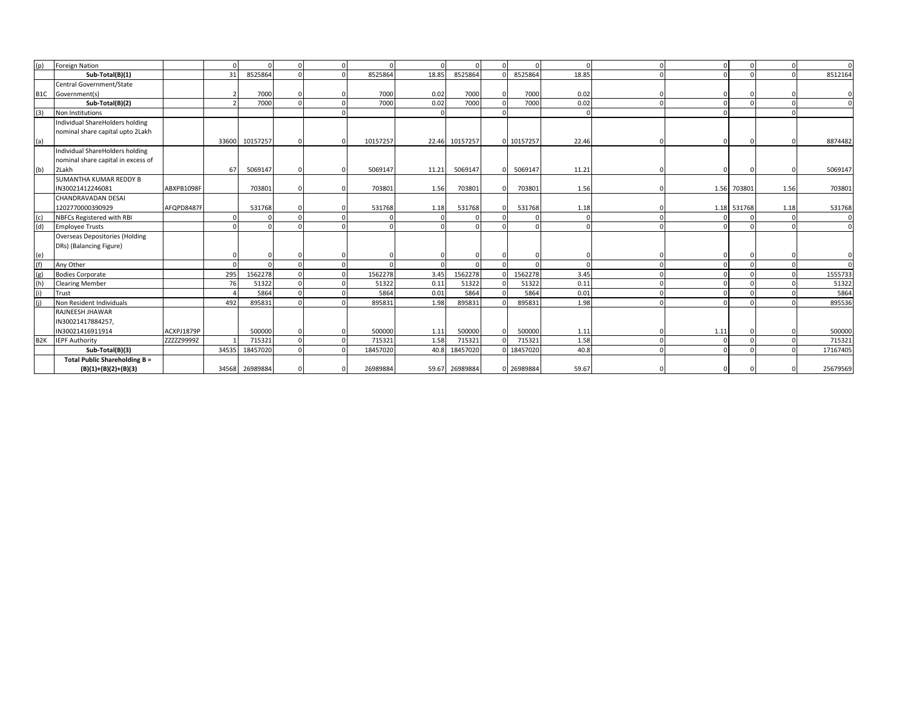| (p)              | <b>Foreign Nation</b>                 |            | n     |          |  |          |       |                |            | $\Omega$ | $\Omega$   |      | $\Omega$    | $\Omega$ |          |
|------------------|---------------------------------------|------------|-------|----------|--|----------|-------|----------------|------------|----------|------------|------|-------------|----------|----------|
|                  | Sub-Total(B)(1)                       |            | 31    | 8525864  |  | 8525864  | 18.85 | 8525864        | 8525864    | 18.85    | $\sqrt{ }$ |      |             | $\Omega$ | 8512164  |
|                  | Central Government/State              |            |       |          |  |          |       |                |            |          |            |      |             |          |          |
|                  | B1C Government(s)                     |            |       | 7000     |  | 7000     | 0.02  | 7000           | 7000       | 0.02     |            |      |             |          |          |
|                  | Sub-Total(B)(2)                       |            |       | 7000     |  | 7000     | 0.02  | 7000           | 7000       | 0.02     |            |      |             | $\Omega$ |          |
| (3)              | Non Institutions                      |            |       |          |  |          |       |                |            | $\Omega$ |            |      |             |          |          |
|                  | Individual ShareHolders holding       |            |       |          |  |          |       |                |            |          |            |      |             |          |          |
|                  | nominal share capital upto 2Lakh      |            |       |          |  |          |       |                |            |          |            |      |             |          |          |
| (a)              |                                       |            | 33600 | 10157257 |  | 10157257 |       | 22.46 10157257 | 0 10157257 | 22.46    |            |      |             |          | 8874482  |
|                  | Individual ShareHolders holding       |            |       |          |  |          |       |                |            |          |            |      |             |          |          |
|                  | nominal share capital in excess of    |            |       |          |  |          |       |                |            |          |            |      |             |          |          |
| (b)              | 2Lakh                                 |            | 67    | 5069147  |  | 5069147  | 11.21 | 5069147        | 5069147    | 11.21    |            |      |             |          | 5069147  |
|                  | SUMANTHA KUMAR REDDY B                |            |       |          |  |          |       |                |            |          |            |      |             |          |          |
|                  | IN30021412246081                      | ABXPB1098F |       | 703801   |  | 703801   | 1.56  | 703801         | 703801     | 1.56     |            |      | 1.56 703801 | 1.56     | 703801   |
|                  | CHANDRAVADAN DESAI                    |            |       |          |  |          |       |                |            |          |            |      |             |          |          |
|                  | 1202770000390929                      | AFQPD8487F |       | 531768   |  | 531768   | 1.18  | 531768         | 531768     | 1.18     |            |      | 1.18 531768 | 1.18     | 531768   |
| (c)              | NBFCs Registered with RBI             |            |       |          |  |          |       |                |            | $\Omega$ |            |      |             | $\Omega$ |          |
| (d)              | <b>Employee Trusts</b>                |            |       |          |  | $\Omega$ |       |                |            | $\Omega$ |            |      |             |          |          |
|                  | <b>Overseas Depositories (Holding</b> |            |       |          |  |          |       |                |            |          |            |      |             |          |          |
|                  | DRs) (Balancing Figure)               |            |       |          |  |          |       |                |            |          |            |      |             |          |          |
| $\frac{e}{f}$    |                                       |            |       |          |  |          |       |                |            | $\Omega$ |            |      |             |          |          |
|                  | Any Other                             |            |       |          |  |          |       |                |            | $\Omega$ |            |      |             |          |          |
| (g)              | <b>Bodies Corporate</b>               |            | 295   | 1562278  |  | 1562278  | 3.45  | 1562278        | 1562278    | 3.45     |            |      |             |          | 1555733  |
| (h)              | <b>Clearing Member</b>                |            | 76    | 51322    |  | 51322    | 0.11  | 51322          | 51322      | 0.11     |            |      |             |          | 51322    |
| (i)              | Trust                                 |            |       | 5864     |  | 5864     | 0.01  | 5864           | 5864       | 0.01     |            |      |             |          | 5864     |
| (i)              | Non Resident Individuals              |            | 492   | 895831   |  | 895831   | 1.98  | 895831         | 895831     | 1.98     |            |      |             |          | 895536   |
|                  | RAJNEESH JHAWAR                       |            |       |          |  |          |       |                |            |          |            |      |             |          |          |
|                  | IN30021417884257,                     |            |       |          |  |          |       |                |            |          |            |      |             |          |          |
|                  | IN30021416911914                      | ACXPJ1879P |       | 500000   |  | 500000   | 1.11  | 500000         | 500000     | 1.11     |            | 1.11 |             |          | 500000   |
| B <sub>2</sub> K | <b>IEPF Authority</b>                 | ZZZZZ9999Z |       | 715321   |  | 715321   | 1.58  | 715321         | 715321     | 1.58     | $\Omega$   |      |             |          | 715321   |
|                  | Sub-Total(B)(3)                       |            | 34535 | 18457020 |  | 18457020 |       | 40.8 18457020  | 0 18457020 | 40.8     |            |      |             |          | 17167405 |
|                  | Total Public Shareholding B =         |            |       |          |  |          |       |                |            |          |            |      |             |          |          |
|                  | $(B)(1)+(B)(2)+(B)(3)$                |            | 34568 | 26989884 |  | 26989884 |       | 59.67 26989884 | 26989884   | 59.67    |            |      |             |          | 25679569 |